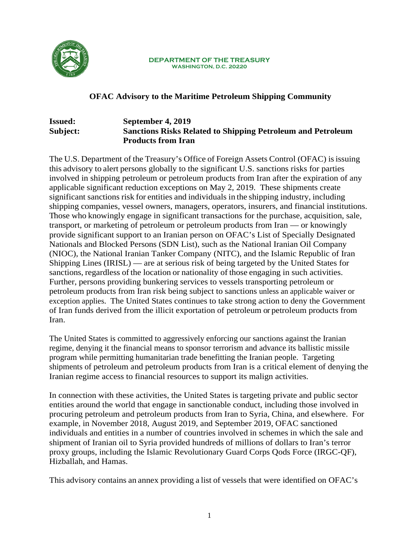

#### **DEPARTMENT OF THE TREASURY WASHINGTON, D.C. 20220**

# **OFAC Advisory to the Maritime Petroleum Shipping Community**

# **Issued: September 4, 2019 Subject: Sanctions Risks Related to Shipping Petroleum and Petroleum Products from Iran**

The U.S. Department of the Treasury's Office of Foreign Assets Control (OFAC) isissuing this advisory to alert persons globally to the significant U.S. sanctions risks for parties involved in shipping petroleum or petroleum products from Iran after the expiration of any applicable significant reduction exceptions on May 2, 2019. These shipments create significant sanctions risk for entities and individuals in the shipping industry, including shipping companies, vessel owners, managers, operators, insurers, and financial institutions. Those who knowingly engage in significant transactions for the purchase, acquisition, sale, transport, or marketing of petroleum or petroleum products from Iran — or knowingly provide significant support to an Iranian person on OFAC's List of Specially Designated Nationals and Blocked Persons (SDN List), such as the National Iranian Oil Company (NIOC), the National Iranian Tanker Company (NITC), and the Islamic Republic of Iran Shipping Lines (IRISL) — are at serious risk of being targeted by the United States for sanctions, regardless of the location or nationality of those engaging in such activities. Further, persons providing bunkering services to vessels transporting petroleum or petroleum products from Iran risk being subject to sanctions unless an applicable waiver or exception applies. The United States continues to take strong action to deny the Government of Iran funds derived from the illicit exportation of petroleum or petroleum products from Iran.

The United States is committed to aggressively enforcing our sanctions against the Iranian regime, denying it the financial means to sponsor terrorism and advance its ballistic missile program while permitting humanitarian trade benefitting the Iranian people. Targeting shipments of petroleum and petroleum products from Iran is a critical element of denying the Iranian regime access to financial resources to support its malign activities.

In connection with these activities, the United States is targeting private and public sector entities around the world that engage in sanctionable conduct, including those involved in procuring petroleum and petroleum products from Iran to Syria, China, and elsewhere. For example, in November 2018, August 2019, and September 2019, OFAC sanctioned individuals and entities in a number of countries involved in schemes in which the sale and shipment of Iranian oil to Syria provided hundreds of millions of dollars to Iran's terror proxy groups, including the Islamic Revolutionary Guard Corps Qods Force (IRGC-QF), Hizballah, and Hamas.

This advisory contains an annex providing a list of vessels that were identified on OFAC's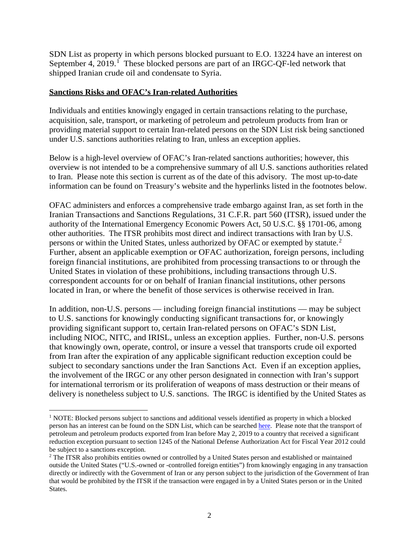SDN List as property in which persons blocked pursuant to E.O. 13224 have an interest on September 4, 20[1](#page-1-0)9.<sup>1</sup> These blocked persons are part of an IRGC-QF-led network that shipped Iranian crude oil and condensate to Syria.

# **Sanctions Risks and OFAC's Iran-related Authorities**

Individuals and entities knowingly engaged in certain transactions relating to the purchase, acquisition, sale, transport, or marketing of petroleum and petroleum products from Iran or providing material support to certain Iran-related persons on the SDN List risk being sanctioned under U.S. sanctions authorities relating to Iran, unless an exception applies.

Below is a high-level overview of OFAC's Iran-related sanctions authorities; however, this overview is not intended to be a comprehensive summary of all U.S. sanctions authorities related to Iran. Please note this section is current as of the date of this advisory. The most up-to-date information can be found on Treasury's website and the hyperlinks listed in the footnotes below.

OFAC administers and enforces a comprehensive trade embargo against Iran, as set forth in the Iranian Transactions and Sanctions Regulations, 31 C.F.R. part 560 (ITSR), issued under the authority of the International Emergency Economic Powers Act, 50 U.S.C. §§ 1701-06, among other authorities. The ITSR prohibits most direct and indirect transactions with Iran by U.S. persons or within the United States, unless authorized by OFAC or exempted by statute.<sup>[2](#page-1-1)</sup> Further, absent an applicable exemption or OFAC authorization, foreign persons, including foreign financial institutions, are prohibited from processing transactions to or through the United States in violation of these prohibitions, including transactions through U.S. correspondent accounts for or on behalf of Iranian financial institutions, other persons located in Iran, or where the benefit of those services is otherwise received in Iran.

In addition, non-U.S. persons — including foreign financial institutions — may be subject to U.S. sanctions for knowingly conducting significant transactions for, or knowingly providing significant support to, certain Iran-related persons on OFAC's SDN List, including NIOC, NITC, and IRISL, unless an exception applies. Further, non-U.S. persons that knowingly own, operate, control, or insure a vessel that transports crude oil exported from Iran after the expiration of any applicable significant reduction exception could be subject to secondary sanctions under the Iran Sanctions Act. Even if an exception applies, the involvement of the IRGC or any other person designated in connection with Iran's support for international terrorism or its proliferation of weapons of mass destruction or their means of delivery is nonetheless subject to U.S. sanctions. The IRGC is identified by the United States as

<span id="page-1-0"></span><sup>&</sup>lt;sup>1</sup> NOTE: Blocked persons subject to sanctions and additional vessels identified as property in which a blocked person has an interest can be found on the SDN List, which can be searched [here.](https://www.treasury.gov/resource-center/sanctions/SDN-List/Pages/default.aspx) Please note that the transport of petroleum and petroleum products exported from Iran before May 2, 2019 to a country that received a significant reduction exception pursuant to section 1245 of the National Defense Authorization Act for Fiscal Year 2012 could be subject to a sanctions exception.

<span id="page-1-1"></span><sup>2</sup> The ITSR also prohibits entities owned or controlled by a United States person and established or maintained outside the United States ("U.S.-owned or -controlled foreign entities") from knowingly engaging in any transaction directly or indirectly with the Government of Iran or any person subject to the jurisdiction of the Government of Iran that would be prohibited by the ITSR if the transaction were engaged in by a United States person or in the United States.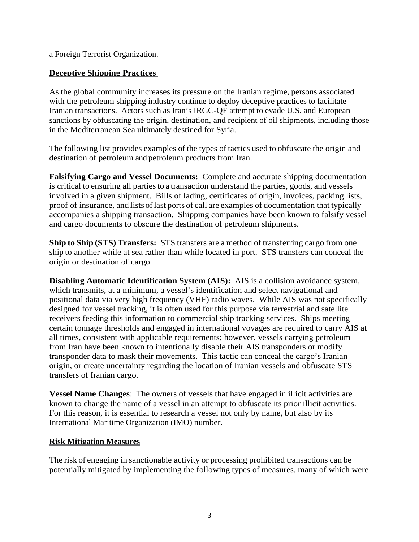a Foreign Terrorist Organization.

# **Deceptive Shipping Practices**

As the global community increases its pressure on the Iranian regime, persons associated with the petroleum shipping industry continue to deploy deceptive practices to facilitate Iranian transactions. Actors such as Iran's IRGC-QF attempt to evade U.S. and European sanctions by obfuscating the origin, destination, and recipient of oil shipments, including those in the Mediterranean Sea ultimately destined for Syria.

The following list provides examples of the types of tactics used to obfuscate the origin and destination of petroleum and petroleum products from Iran.

**Falsifying Cargo and Vessel Documents:** Complete and accurate shipping documentation is critical to ensuring all parties to a transaction understand the parties, goods, and vessels involved in a given shipment. Bills of lading, certificates of origin, invoices, packing lists, proof of insurance, and lists of last ports of call are examples of documentation that typically accompanies a shipping transaction. Shipping companies have been known to falsify vessel and cargo documents to obscure the destination of petroleum shipments.

**Ship to Ship (STS) Transfers:** STS transfers are a method of transferring cargo from one ship to another while at sea rather than while located in port. STS transfers can conceal the origin or destination of cargo.

**Disabling Automatic Identification System (AIS):** AIS is a collision avoidance system, which transmits, at a minimum, a vessel's identification and select navigational and positional data via very high frequency (VHF) radio waves. While AIS was not specifically designed for vessel tracking, it is often used for this purpose via terrestrial and satellite receivers feeding this information to commercial ship tracking services. Ships meeting certain tonnage thresholds and engaged in international voyages are required to carry AIS at all times, consistent with applicable requirements; however, vessels carrying petroleum from Iran have been known to intentionally disable their AIS transponders or modify transponder data to mask their movements. This tactic can conceal the cargo's Iranian origin, or create uncertainty regarding the location of Iranian vessels and obfuscate STS transfers of Iranian cargo.

**Vessel Name Changes**: The owners of vessels that have engaged in illicit activities are known to change the name of a vessel in an attempt to obfuscate its prior illicit activities. For this reason, it is essential to research a vessel not only by name, but also by its International Maritime Organization (IMO) number.

#### **Risk Mitigation Measures**

The risk of engaging in sanctionable activity or processing prohibited transactions can be potentially mitigated by implementing the following types of measures, many of which were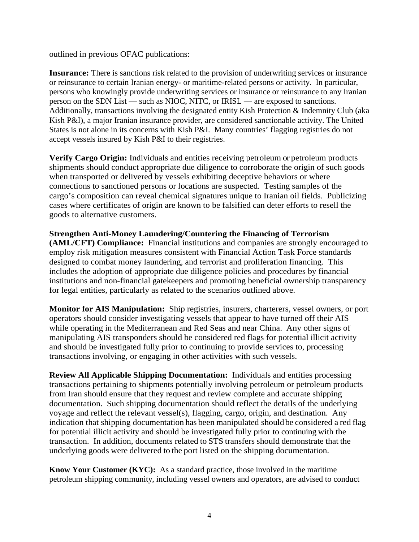outlined in previous OFAC publications:

**Insurance:** There is sanctions risk related to the provision of underwriting services or insurance or reinsurance to certain Iranian energy- or maritime-related persons or activity. In particular, persons who knowingly provide underwriting services or insurance or reinsurance to any Iranian person on the SDN List — such as NIOC, NITC, or IRISL — are exposed to sanctions. Additionally, transactions involving the designated entity Kish Protection & Indemnity Club (aka Kish P&I), a major Iranian insurance provider, are considered sanctionable activity. The United States is not alone in its concerns with Kish P&I. Many countries' flagging registries do not accept vessels insured by Kish P&I to their registries.

**Verify Cargo Origin:** Individuals and entities receiving petroleum or petroleum products shipments should conduct appropriate due diligence to corroborate the origin of such goods when transported or delivered by vessels exhibiting deceptive behaviors or where connections to sanctioned persons or locations are suspected. Testing samples of the cargo's composition can reveal chemical signatures unique to Iranian oil fields. Publicizing cases where certificates of origin are known to be falsified can deter efforts to resell the goods to alternative customers.

# **Strengthen Anti-Money Laundering/Countering the Financing of Terrorism**

**(AML/CFT) Compliance:** Financial institutions and companies are strongly encouraged to employ risk mitigation measures consistent with Financial Action Task Force standards designed to combat money laundering, and terrorist and proliferation financing. This includes the adoption of appropriate due diligence policies and procedures by financial institutions and non-financial gatekeepers and promoting beneficial ownership transparency for legal entities, particularly as related to the scenarios outlined above.

**Monitor for AIS Manipulation:** Ship registries, insurers, charterers, vessel owners, or port operators should consider investigating vessels that appear to have turned off their AIS while operating in the Mediterranean and Red Seas and near China. Any other signs of manipulating AIS transponders should be considered red flags for potential illicit activity and should be investigated fully prior to continuing to provide services to, processing transactions involving, or engaging in other activities with such vessels.

**Review All Applicable Shipping Documentation:** Individuals and entities processing transactions pertaining to shipments potentially involving petroleum or petroleum products from Iran should ensure that they request and review complete and accurate shipping documentation. Such shipping documentation should reflect the details of the underlying voyage and reflect the relevant vessel(s), flagging, cargo, origin, and destination. Any indication that shipping documentation has been manipulated should be considered a red flag for potential illicit activity and should be investigated fully prior to continuing with the transaction. In addition, documents related to STS transfers should demonstrate that the underlying goods were delivered to the port listed on the shipping documentation.

**Know Your Customer (KYC):** As a standard practice, those involved in the maritime petroleum shipping community, including vessel owners and operators, are advised to conduct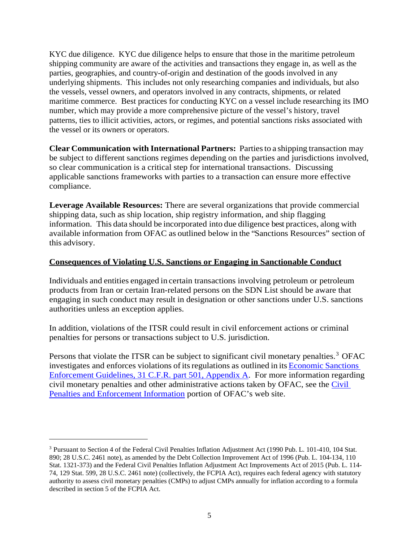KYC due diligence. KYC due diligence helps to ensure that those in the maritime petroleum shipping community are aware of the activities and transactions they engage in, as well as the parties, geographies, and country-of-origin and destination of the goods involved in any underlying shipments. This includes not only researching companies and individuals, but also the vessels, vessel owners, and operators involved in any contracts, shipments, or related maritime commerce. Best practices for conducting KYC on a vessel include researching its IMO number, which may provide a more comprehensive picture of the vessel's history, travel patterns, ties to illicit activities, actors, or regimes, and potential sanctions risks associated with the vessel or its owners or operators.

**Clear Communication with International Partners:** Partiesto a shipping transaction may be subject to different sanctions regimes depending on the parties and jurisdictions involved, so clear communication is a critical step for international transactions. Discussing applicable sanctions frameworks with parties to a transaction can ensure more effective compliance.

**Leverage Available Resources:** There are several organizations that provide commercial shipping data, such as ship location, ship registry information, and ship flagging information. This data should be incorporated into due diligence best practices, along with available information from OFAC as outlined below in the "Sanctions Resources" section of this advisory.

# **Consequences of Violating U.S. Sanctions or Engaging in Sanctionable Conduct**

Individuals and entities engaged in certain transactions involving petroleum or petroleum products from Iran or certain Iran-related persons on the SDN List should be aware that engaging in such conduct may result in designation or other sanctions under U.S. sanctions authorities unless an exception applies.

In addition, violations of the ITSR could result in civil enforcement actions or criminal penalties for persons or transactions subject to U.S. jurisdiction.

Persons that violate the ITSR can be subject to significant civil monetary penalties.<sup>[3](#page-4-0)</sup> OFAC investigates and enforces violations of its regulations as outlined in its [Economic](https://www.treasury.gov/resource-center/sanctions/Documents/fr74_57593.pdf) Sanctions [Enforcement Guidelines, 31 C.F.R. part 501, Appendix A.](https://www.treasury.gov/resource-center/sanctions/Documents/fr74_57593.pdf) For more information regarding civil monetary penalties and other administrative actions taken by OFAC, see the [Civil](https://www.treasury.gov/resource-center/sanctions/CivPen/Pages/civpen-index2.aspx)  [Penalties and Enforcement Information](https://www.treasury.gov/resource-center/sanctions/CivPen/Pages/civpen-index2.aspx) portion of OFAC's web site.

 $\overline{a}$ 

<span id="page-4-0"></span><sup>3</sup> Pursuant to Section 4 of the Federal Civil Penalties Inflation Adjustment Act (1990 Pub. L. 101-410, 104 Stat. 890; 28 U.S.C. 2461 note), as amended by the Debt Collection Improvement Act of 1996 (Pub. L. 104-134, 110 Stat. 1321-373) and the Federal Civil Penalties Inflation Adjustment Act Improvements Act of 2015 (Pub. L. 114- 74, 129 Stat. 599, 28 U.S.C. 2461 note) (collectively, the FCPIA Act), requires each federal agency with statutory authority to assess civil monetary penalties (CMPs) to adjust CMPs annually for inflation according to a formula described in section 5 of the FCPIA Act.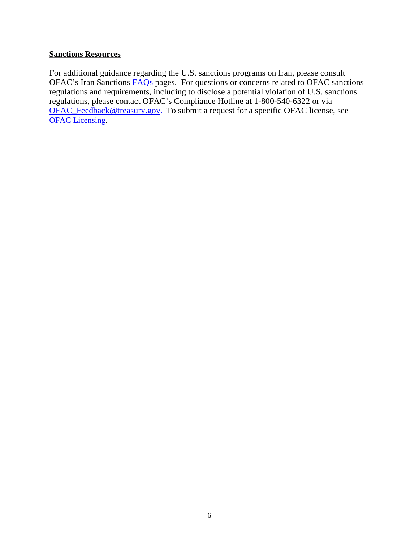# **Sanctions Resources**

For additional guidance regarding the U.S. sanctions programs on Iran, please consult OFAC's Iran Sanctions [FAQs](https://www.treasury.gov/resource-center/faqs/Sanctions/Pages/faq_iran.aspx) pages. For questions or concerns related to OFAC sanctions regulations and requirements, including to disclose a potential violation of U.S. sanctions regulations, please contact OFAC's Compliance Hotline at 1-800-540-6322 or via [OFAC\\_Feedback@treasury.gov.](mailto:OFAC_Feedback@treasury.gov.) To submit a request for a specific OFAC license, see **[OFAC Licensing.](https://licensing.ofac.treas.gov/Apply/Introduction.aspx)**